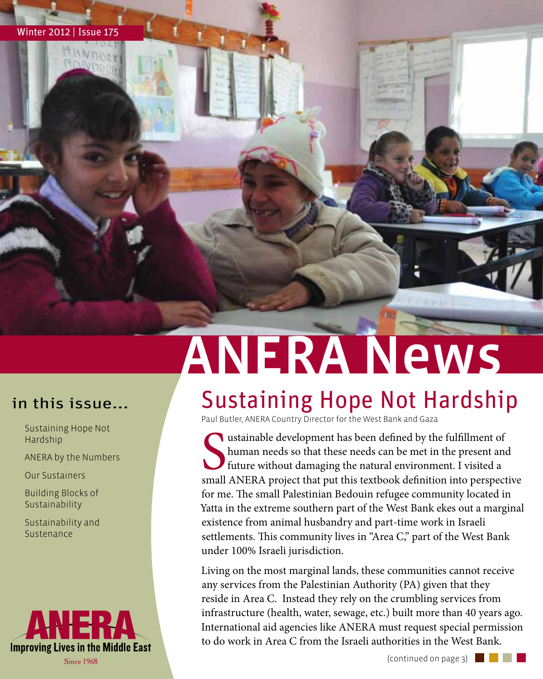

HINNO

## ANERA News

- Sustaining Hope Not Hardship
- ANERA by the Numbers

Our Sustainers

- Building Blocks of Sustainability
- Sustainability and Sustenance



### in this issue... / Sustaining Hope Not Hardship

Paul Butler, ANERA Country Director for the West Bank and Gaza

small alternative development has been defined by the fulfillment of<br>human needs so that these needs can be met in the present and<br>future without damaging the natural environment. I visited a<br>small ANERA project that put t ustainable development has been defined by the fulfillment of human needs so that these needs can be met in the present and If future without damaging the natural environment. I visited a for me. The small Palestinian Bedouin refugee community located in Yatta in the extreme southern part of the West Bank ekes out a marginal existence from animal husbandry and part-time work in Israeli settlements. This community lives in "Area C," part of the West Bank under 100% Israeli jurisdiction.

Living on the most marginal lands, these communities cannot receive any services from the Palestinian Authority (PA) given that they reside in Area C. Instead they rely on the crumbling services from infrastructure (health, water, sewage, etc.) built more than 40 years ago. International aid agencies like ANERA must request special permission to do work in Area C from the Israeli authorities in the West Bank.

(continued on page 3)  $\Box$ 

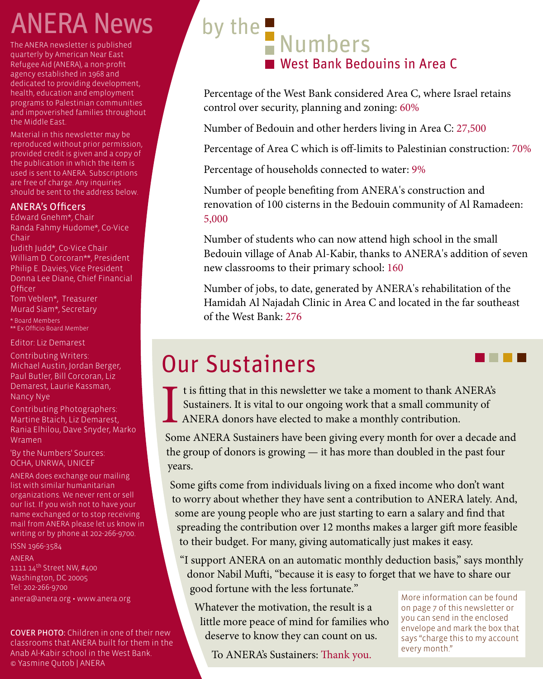## ANERA News

The ANERA newsletter is published quarterly by American Near East Refugee Aid (ANERA), a non-profit agency established in 1968 and dedicated to providing development, health, education and employment programs to Palestinian communities and impoverished families throughout the Middle East.

Material in this newsletter may be reproduced without prior permission, provided credit is given and a copy of the publication in which the item is used is sent to ANERA. Subscriptions are free of charge. Any inquiries should be sent to the address below.

#### ANERA's Officers

Edward Gnehm\*, Chair Randa Fahmy Hudome\*, Co-Vice Chair

Judith Judd\*, Co-Vice Chair William D. Corcoran\*\*, President Philip E. Davies, Vice President Donna Lee Diane, Chief Financial **Officer** 

Tom Veblen\*, Treasurer Murad Siam\*, Secretary \* Board Members \*\* Ex Officio Board Member

Editor: Liz Demarest

Contributing Writers: Michael Austin, Jordan Berger, Paul Butler, Bill Corcoran, Liz Demarest, Laurie Kassman, Nancy Nye

Contributing Photographers: Martine Btaich, Liz Demarest, Rania Elhilou, Dave Snyder, Marko Wramen

'By the Numbers' Sources: OCHA, UNRWA, UNICEF

ANERA does exchange our mailing list with similar humanitarian organizations. We never rent or sell our list. If you wish not to have your name exchanged or to stop receiving mail from ANERA please let us know in writing or by phone at 202-266-9700.

ISSN 1966-3584

#### ANERA

1111 14th Street NW, #400 Washington, DC 20005 Tel: 202-266-9700 anera@anera.org • www.anera.org

COVER PHOTO: Children in one of their new classrooms that ANERA built for them in the Anab Al-Kabir school in the West Bank. © Yasmine Qutob | ANERA

## by the  $\blacksquare$  Numbers West Bank Bedouins in Area C

Percentage of the West Bank considered Area C, where Israel retains control over security, planning and zoning: 60%

Number of Bedouin and other herders living in Area C: 27,500

Percentage of Area C which is off-limits to Palestinian construction: 70%

Percentage of households connected to water: 9%

Number of people benefiting from ANERA's construction and renovation of 100 cisterns in the Bedouin community of Al Ramadeen: 5,000

Number of students who can now attend high school in the small Bedouin village of Anab Al-Kabir, thanks to ANERA's addition of seven new classrooms to their primary school: 160

Number of jobs, to date, generated by ANERA's rehabilitation of the Hamidah Al Najadah Clinic in Area C and located in the far southeast of the West Bank: 276

### Our Sustainers

I t is fitting that in this newsletter we take a moment to thank ANERA's Sustainers. It is vital to our ongoing work that a small community of ANERA donors have elected to make a monthly contribution.

Some ANERA Sustainers have been giving every month for over a decade and the group of donors is growing — it has more than doubled in the past four years.

Some gifts come from individuals living on a fixed income who don't want to worry about whether they have sent a contribution to ANERA lately. And, some are young people who are just starting to earn a salary and find that spreading the contribution over 12 months makes a larger gift more feasible to their budget. For many, giving automatically just makes it easy.

"I support ANERA on an automatic monthly deduction basis," says monthly donor Nabil Mufti, "because it is easy to forget that we have to share our good fortune with the less fortunate."

Whatever the motivation, the result is a little more peace of mind for families who deserve to know they can count on us.

To ANERA's Sustainers: Thank you.

More information can be found on page 7 of this newsletter or you can send in the enclosed envelope and mark the box that says "charge this to my account every month."

. . . .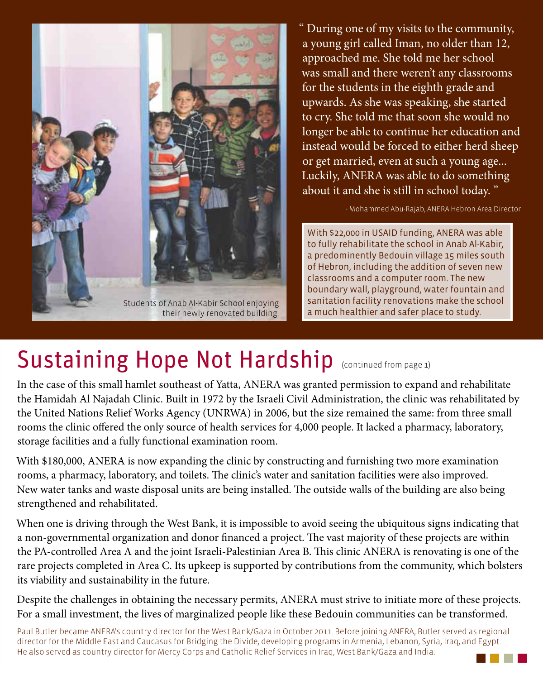

their newly renovated building.

" During one of my visits to the community, a young girl called Iman, no older than 12, approached me. She told me her school was small and there weren't any classrooms for the students in the eighth grade and upwards. As she was speaking, she started to cry. She told me that soon she would no longer be able to continue her education and instead would be forced to either herd sheep or get married, even at such a young age... Luckily, ANERA was able to do something about it and she is still in school today. "

- Mohammed Abu-Rajab, ANERA Hebron Area Director

With \$22,000 in USAID funding, ANERA was able to fully rehabilitate the school in Anab Al-Kabir, a predominently Bedouin village 15 miles south of Hebron, including the addition of seven new classrooms and a computer room. The new boundary wall, playground, water fountain and sanitation facility renovations make the school a much healthier and safer place to study.

### Sustaining Hope Not Hardship (Continued from page 1)

In the case of this small hamlet southeast of Yatta, ANERA was granted permission to expand and rehabilitate the Hamidah Al Najadah Clinic. Built in 1972 by the Israeli Civil Administration, the clinic was rehabilitated by the United Nations Relief Works Agency (UNRWA) in 2006, but the size remained the same: from three small rooms the clinic offered the only source of health services for 4,000 people. It lacked a pharmacy, laboratory, storage facilities and a fully functional examination room.

With \$180,000, ANERA is now expanding the clinic by constructing and furnishing two more examination rooms, a pharmacy, laboratory, and toilets. The clinic's water and sanitation facilities were also improved. New water tanks and waste disposal units are being installed. The outside walls of the building are also being strengthened and rehabilitated.

When one is driving through the West Bank, it is impossible to avoid seeing the ubiquitous signs indicating that a non-governmental organization and donor financed a project. The vast majority of these projects are within the PA-controlled Area A and the joint Israeli-Palestinian Area B. This clinic ANERA is renovating is one of the rare projects completed in Area C. Its upkeep is supported by contributions from the community, which bolsters its viability and sustainability in the future.

Despite the challenges in obtaining the necessary permits, ANERA must strive to initiate more of these projects. For a small investment, the lives of marginalized people like these Bedouin communities can be transformed.

Paul Butler became ANERA's country director for the West Bank/Gaza in October 2011. Before joining ANERA, Butler served as regional director for the Middle East and Caucasus for Bridging the Divide, developing programs in Armenia, Lebanon, Syria, Iraq, and Egypt. He also served as country director for Mercy Corps and Catholic Relief Services in Iraq, West Bank/Gaza and India.

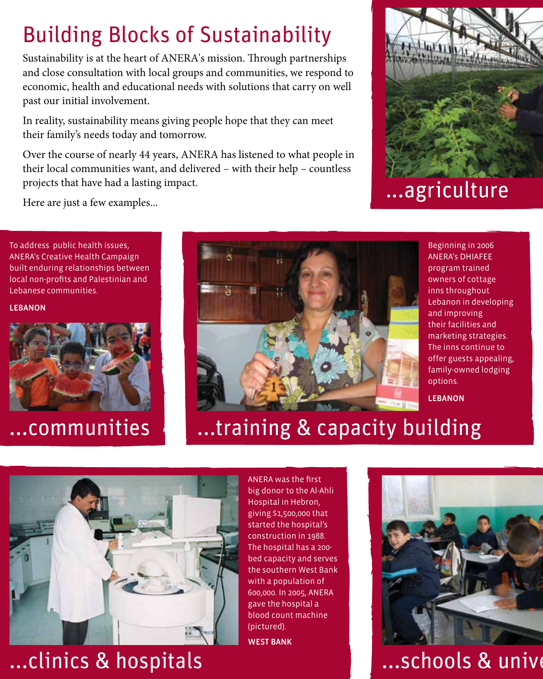#### Building Blocks of Sustainability

Sustainability is at the heart of ANERA's mission. Through partnerships and close consultation with local groups and communities, we respond to economic, health and educational needs with solutions that carry on well past our initial involvement.

In reality, sustainability means giving people hope that they can meet their family's needs today and tomorrow.

Over the course of nearly 44 years, ANERA has listened to what people in their local communities want, and delivered – with their help – countless projects that have had a lasting impact.



...agriculture

Here are just a few examples...

To address public health issues, ANERA's Creative Health Campaign built enduring relationships between local non-profits and Palestinian and Lebanese communities.

#### LEBANON



#### ...communities



Beginning in 2006 ANERA's DHIAFEE program trained owners of cottage inns throughout Lebanon in developing and improving their facilities and marketing strategies. The inns continue to offer guests appealing, family-owned lodging options.

LEBANON

### ...training & capacity building



...clinics & hospitals

ANERA was the first big donor to the Al-Ahli Hospital in Hebron, giving \$1,500,000 that started the hospital's construction in 1988. The hospital has a 200 bed capacity and serves the southern West Bank with a population of 600,000. In 2005, ANERA gave the hospital a blood count machine (pictured).

WEST BANK



...schools & unive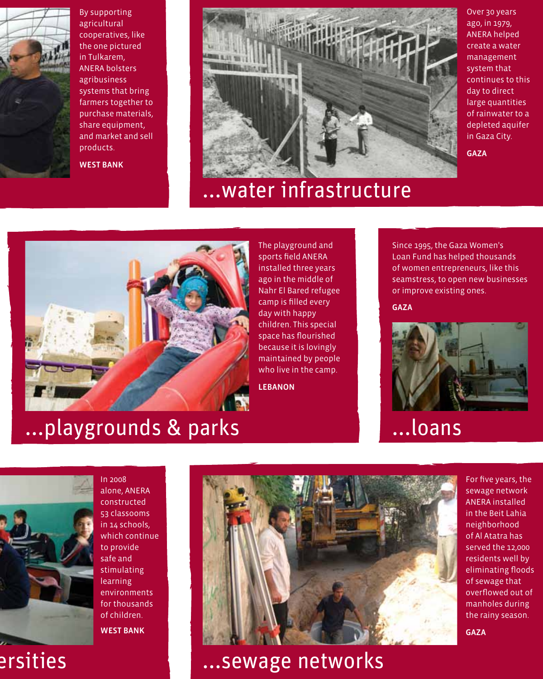

By supporting agricultural cooperatives, like the one pictured in Tulkarem, ANERA bolsters agribusiness systems that bring farmers together to purchase materials, share equipment, and market and sell products.

WEST BANK



#### ...water infrastructure

Over 30 years ago, in 1979, ANERA helped create a water management system that continues to this day to direct large quantities of rainwater to a depleted aquifer in Gaza City.

GAZA



The playground and sports field ANERA installed three years ago in the middle of Nahr El Bared refugee camp is filled every day with happy children. This special space has flourished because it is lovingly maintained by people who live in the camp.

LEBANON

Since 1995, the Gaza Women's Loan Fund has helped thousands of women entrepreneurs, like this seamstress, to open new businesses or improve existing ones.

GAZA



#### ...loans



In 2008 alone, ANERA constructed 53 classooms in 14 schools, which continue to provide safe and stimulating learning environments for thousands of children. WEST BANK



...schools & universities ...sewage networks

For five years, the sewage network ANERA installed in the Beit Lahia neighborhood of Al Atatra has served the 12,000 residents well by eliminating floods of sewage that overflowed out of manholes during the rainy season.

GAZA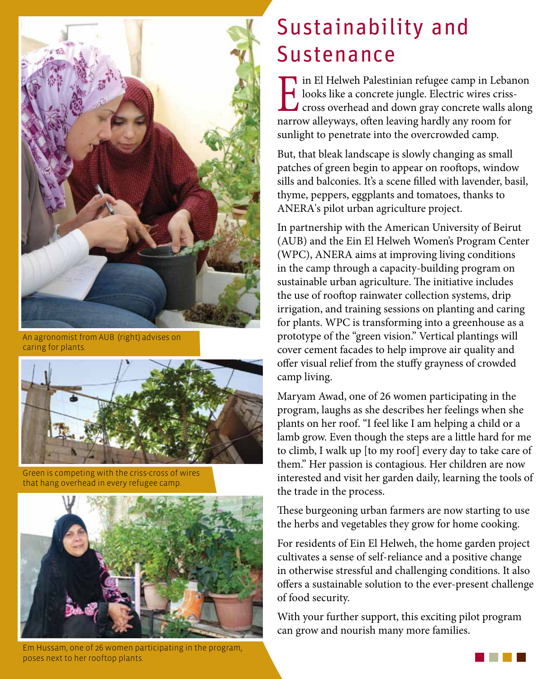

An agronomist from AUB (right) advises on caring for plants.



Green is competing with the criss-cross of wires that hang overhead in every refugee camp.



Em Hussam, one of 26 women participating in the program, poses next to her rooftop plants.

#### Sustainability and Sustenance

I in El Helweh Palestinian refugee camp in Lebanon<br>looks like a concrete jungle. Electric wires criss-<br>cross overhead and down gray concrete walls along<br>narrow allenways often leaving bardly any room for looks like a concrete jungle. Electric wires crisscross overhead and down gray concrete walls along narrow alleyways, often leaving hardly any room for sunlight to penetrate into the overcrowded camp.

But, that bleak landscape is slowly changing as small patches of green begin to appear on rooftops, window sills and balconies. It's a scene filled with lavender, basil, thyme, peppers, eggplants and tomatoes, thanks to ANERA's pilot urban agriculture project.

In partnership with the American University of Beirut (AUB) and the Ein El Helweh Women's Program Center (WPC), ANERA aims at improving living conditions in the camp through a capacity-building program on sustainable urban agriculture. The initiative includes the use of rooftop rainwater collection systems, drip irrigation, and training sessions on planting and caring for plants. WPC is transforming into a greenhouse as a prototype of the "green vision." Vertical plantings will cover cement facades to help improve air quality and offer visual relief from the stuffy grayness of crowded camp living.

Maryam Awad, one of 26 women participating in the program, laughs as she describes her feelings when she plants on her roof. "I feel like I am helping a child or a lamb grow. Even though the steps are a little hard for me to climb, I walk up [to my roof] every day to take care of them." Her passion is contagious. Her children are now interested and visit her garden daily, learning the tools of the trade in the process.

These burgeoning urban farmers are now starting to use the herbs and vegetables they grow for home cooking.

For residents of Ein El Helweh, the home garden project cultivates a sense of self-reliance and a positive change in otherwise stressful and challenging conditions. It also offers a sustainable solution to the ever-present challenge of food security.

With your further support, this exciting pilot program can grow and nourish many more families.

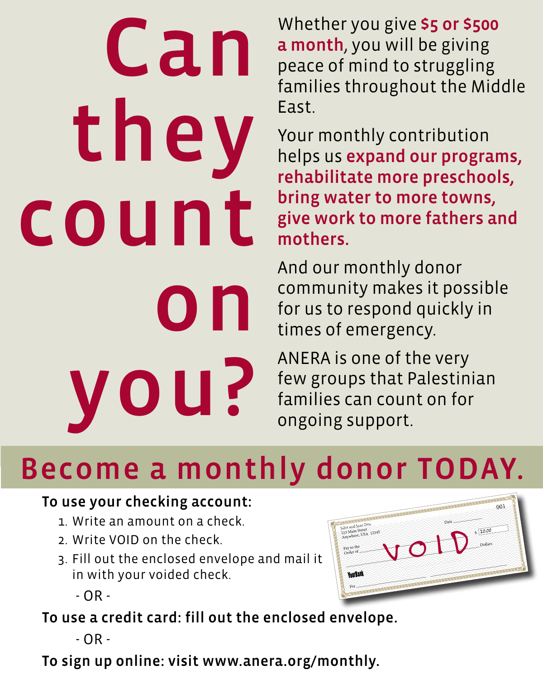# Can they count  $\mathbf{O}$ you?

Whether you give 55 or \$500 a month, you will be giving peace of mind to struggling families throughout the Middle East.

Your monthly contribution helps us expand our programs, rehabilitate more preschools, bring water to more towns, give work to more fathers and mothers.

And our monthly donor community makes it possible for us to respond quickly in times of emergency.

ANERA is one of the very few groups that Palestinian families can count on for ongoing support.

## Become a monthly donor TODAY.

#### To use your checking account:

- 1. Write an amount on a check.
- 2. Write VOID on the check.
- 3. Fill out the enclosed envelope and mail it in with your voided check.

- OR -

To use a credit card: fill out the enclosed envelope.

- OR -

To sign up online: visit www.anera.org/monthly.